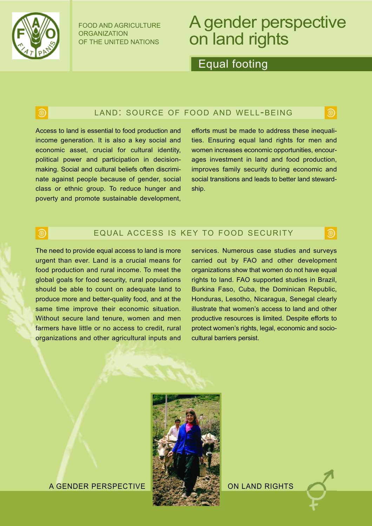

FOOD AND AGRICULTURE ORGANIZATION OF THE UNITED NATIONS

# A gender perspective on land rights

Equal footing

# <u>ම</u>

### LAND: SOURCE OF FOOD AND WELL-BEING

Access to land is essential to food production and income generation. It is also a key social and economic asset, crucial for cultural identity, political power and participation in decisionmaking. Social and cultural beliefs often discriminate against people because of gender, social class or ethnic group. To reduce hunger and poverty and promote sustainable development, efforts must be made to address these inequalities. Ensuring equal land rights for men and women increases economic opportunities, encourages investment in land and food production, improves family security during economic and social transitions and leads to better land stewardship.

ම

ම

### EQUAL ACCESS IS KEY TO FOOD SECURITY

The need to provide equal access to land is more urgent than ever. Land is a crucial means for food production and rural income. To meet the global goals for food security, rural populations should be able to count on adequate land to produce more and better-quality food, and at the same time improve their economic situation. Without secure land tenure, women and men farmers have little or no access to credit, rural organizations and other agricultural inputs and

services. Numerous case studies and surveys carried out by FAO and other development organizations show that women do not have equal rights to land. FAO supported studies in Brazil, Burkina Faso, Cuba, the Dominican Republic, Honduras, Lesotho, Nicaragua, Senegal clearly illustrate that women's access to land and other productive resources is limited. Despite efforts to protect women's rights, legal, economic and sociocultural barriers persist.



A GENDER PERSPECTIVE

ON LAND RIGHTS

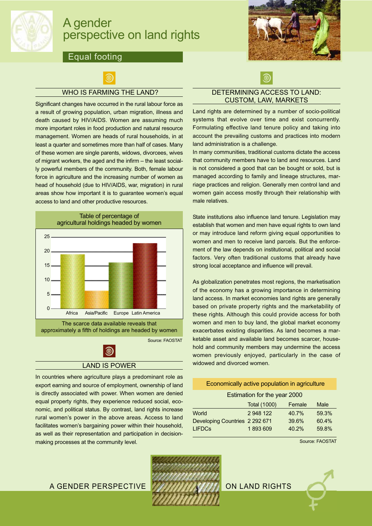

# A gender perspective on land rights

### Equal footing



#### WHO IS FARMING THE LAND?

Significant changes have occurred in the rural labour force as a result of growing population, urban migration, illness and death caused by HIV/AIDS. Women are assuming much more important roles in food production and natural resource management. Women are heads of rural households, in at least a quarter and sometimes more than half of cases. Many of these women are single parents, widows, divorcees, wives of migrant workers, the aged and the infirm – the least socially powerful members of the community. Both, female labour force in agriculture and the increasing number of women as head of household (due to HIV/AIDS, war, migration) in rural areas show how important it is to guarantee women's equal access to land and other productive resources.



#### LAND IS POWER

In countries where agriculture plays a predominant role as export earning and source of employment, ownership of land is directly associated with power. When women are denied equal property rights, they experience reduced social, economic, and political status. By contrast, land rights increase rural women's power in the above areas. Access to land facilitates women's bargaining power within their household, as well as their representation and participation in decisionmaking processes at the community level.



# .ම

#### DETERMINING ACCESS TO LAND: CUSTOM, LAW, MARKETS

Land rights are determined by a number of socio-political systems that evolve over time and exist concurrently. Formulating effective land tenure policy and taking into account the prevailing customs and practices into modern land administration is a challenge.

In many communities, traditional customs dictate the access that community members have to land and resources. Land is not considered a good that can be bought or sold, but is managed according to family and lineage structures, marriage practices and religion. Generally men control land and women gain access mostly through their relationship with male relatives.

State institutions also influence land tenure. Legislation may establish that women and men have equal rights to own land or may introduce land reform giving equal opportunities to women and men to receive land parcels. But the enforcement of the law depends on institutional, political and social factors. Very often traditional customs that already have strong local acceptance and influence will prevail.

As globalization penetrates most regions, the marketisation of the economy has a growing importance in determining land access. In market economies land rights are generally based on private property rights and the marketability of these rights. Although this could provide access for both women and men to buy land, the global market economy exacerbates existing disparities. As land becomes a marketable asset and available land becomes scarcer, household and community members may undermine the access women previously enjoyed, particularly in the case of widowed and divorced women.

#### Economically active population in agriculture

#### Estimation for the year 2000

|                                | <b>Total (1000)</b> | Female | Male  |
|--------------------------------|---------------------|--------|-------|
| World                          | 2 948 122           | 40.7%  | 59.3% |
| Developing Countries 2 292 671 |                     | 39.6%  | 60.4% |
| <b>LIFDCs</b>                  | 1893609             | 40.2%  | 59.8% |
|                                |                     |        |       |

Source: FAOSTAT

A GENDER PERSPECTIVE **WARDEN BEEN AND RIGHTS** 

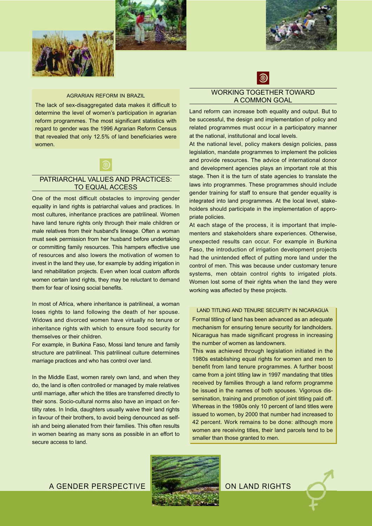



#### AGRARIAN REFORM IN BRAZIL

The lack of sex-disaggregated data makes it difficult to determine the level of women's participation in agrarian reform programmes. The most significant statistics with regard to gender was the 1996 Agrarian Reform Census that revealed that only 12.5% of land beneficiaries were women.



#### PATRIARCHAL VALUES AND PRACTICES: TO EQUAL ACCESS

One of the most difficult obstacles to improving gender equality in land rights is patriarchal values and practices. In most cultures, inheritance practices are patrilineal. Women have land tenure rights only through their male children or male relatives from their husband's lineage. Often a woman must seek permission from her husband before undertaking or committing family resources. This hampers effective use of resources and also lowers the motivation of women to invest in the land they use, for example by adding irrigation in land rehabilitation projects. Even when local custom affords women certain land rights, they may be reluctant to demand them for fear of losing social benefits.

In most of Africa, where inheritance is patrilineal, a woman loses rights to land following the death of her spouse. Widows and divorced women have virtually no tenure or inheritance rights with which to ensure food security for themselves or their children.

For example, in Burkina Faso, Mossi land tenure and family structure are patrilineal. This patrilineal culture determines marriage practices and who has control over land.

In the Middle East, women rarely own land, and when they do, the land is often controlled or managed by male relatives until marriage, after which the titles are transferred directly to their sons. Socio-cultural norms also have an impact on fertility rates. In India, daughters usually waive their land rights in favour of their brothers, to avoid being denounced as selfish and being alienated from their families. This often results in women bearing as many sons as possible in an effort to secure access to land.

#### WORKING TOGETHER TOWARD A COMMON GOAL

ම

Land reform can increase both equality and output. But to be successful, the design and implementation of policy and related programmes must occur in a participatory manner at the national, institutional and local levels.

At the national level, policy makers design policies, pass legislation, mandate programmes to implement the policies and provide resources. The advice of international donor and development agencies plays an important role at this stage. Then it is the turn of state agencies to translate the laws into programmes. These programmes should include gender training for staff to ensure that gender equality is integrated into land programmes. At the local level, stakeholders should participate in the implementation of appropriate policies.

At each stage of the process, it is important that implementers and stakeholders share experiences. Otherwise, unexpected results can occur. For example in Burkina Faso, the introduction of irrigation development projects had the unintended effect of putting more land under the control of men. This was because under customary tenure systems, men obtain control rights to irrigated plots. Women lost some of their rights when the land they were working was affected by these projects.

LAND TITLING AND TENURE SECURITY IN NICARAGUA Formal titling of land has been advanced as an adequate mechanism for ensuring tenure security for landholders. Nicaragua has made significant progress in increasing the number of women as landowners.

This was achieved through legislation initiated in the 1980s establishing equal rights for women and men to benefit from land tenure programmes. A further boost came from a joint titling law in 1997 mandating that titles received by families through a land reform programme be issued in the names of both spouses. Vigorous dissemination, training and promotion of joint titling paid off. Whereas in the 1980s only 10 percent of land titles were issued to women, by 2000 that number had increased to 42 percent. Work remains to be done: although more women are receiving titles, their land parcels tend to be smaller than those granted to men.





A GENDER PERSPECTIVE **CONSIDERATION** ON LAND RIGHTS